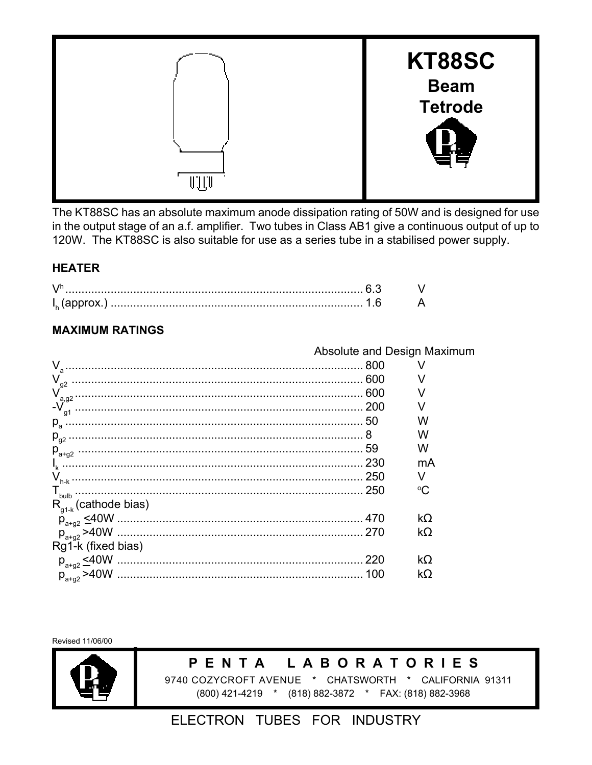

The KT88SC has an absolute maximum anode dissipation rating of 50W and is designed for use in the output stage of an a.f. amplifier. Two tubes in Class AB1 give a continuous output of up to 120W. The KT88SC is also suitable for use as a series tube in a stabilised power supply.

#### **HEATER**

#### **MAXIMUM RATINGS**

|                            |     | Absolute and Design Maximum |
|----------------------------|-----|-----------------------------|
| $V_{\sf a}$                | 800 |                             |
| $\mathsf{V}_{\mathsf{g2}}$ |     |                             |
| a,q2                       |     |                             |
| $-V$                       |     |                             |
| $p_{\rm a}$                |     | w                           |
| $P_{q2}$                   |     | w                           |
|                            | 59  | w                           |
|                            |     | mA                          |
|                            |     |                             |
|                            |     | $^{\circ}C$                 |
| $R_{q1-k}$ (cathode bias)  |     |                             |
|                            |     | $k\Omega$                   |
|                            |     | $k\Omega$                   |
| Rg1-k (fixed bias)         |     |                             |
| $p_{a+g2} \leq 40W$        | 220 | $k\Omega$                   |
| $p_{a+a2} > 40W$           | 100 | kΩ                          |

Revised 11/06/00



#### **LABORATORIES** PENTA

9740 COZYCROFT AVENUE \* CHATSWORTH \* CALIFORNIA 91311 (800) 421-4219 \* (818) 882-3872 \* FAX: (818) 882-3968

### ELECTRON TUBES FOR INDUSTRY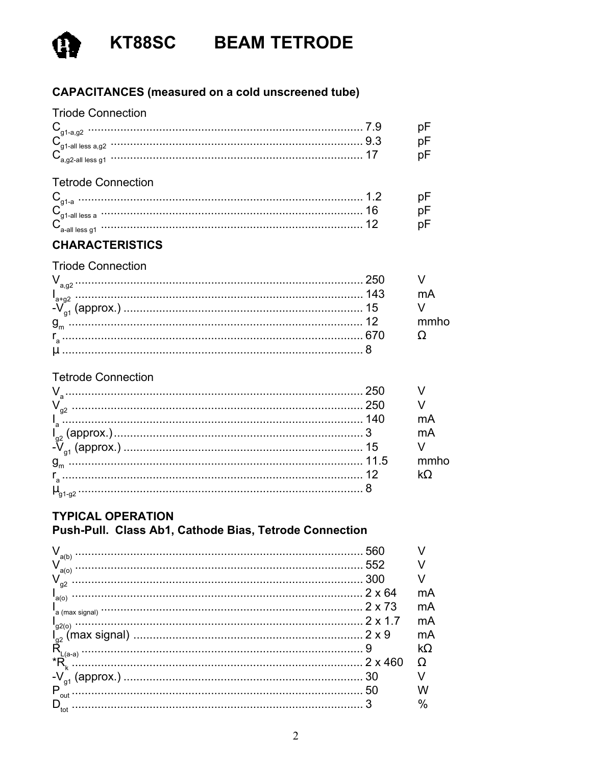

#### **CAPACITANCES** (measured on a cold unscreened tube)

#### **Triode Connection**

| n1-all less a.a2 |  |
|------------------|--|

#### **Tetrode Connection**

| .<br>.            |  |
|-------------------|--|
| $-2$ ii iacc $-2$ |  |
|                   |  |

#### **CHARACTERISTICS**

#### **Triode Connection**

#### **Tetrode Connection**

|  | mA |
|--|----|
|  |    |
|  |    |
|  |    |
|  |    |

### **TYPICAL OPERATION**

#### Push-Pull. Class Ab1, Cathode Bias, Tetrode Connection

| V<br>a(b)      | 560            |      |
|----------------|----------------|------|
| V<br>a(o)      | 552            |      |
| $V_{g2}$       | 300            |      |
| $I_{a(0)}$     | $2 \times 64$  | mA   |
|                | 2 x 73         | mA   |
|                |                | mA   |
|                |                | mA   |
| $L(a-a)$       |                | kΩ   |
| *Ř.            | $2 \times 460$ |      |
| g <sub>1</sub> | 30             |      |
| P<br>out       | 50             |      |
| tot            |                | $\%$ |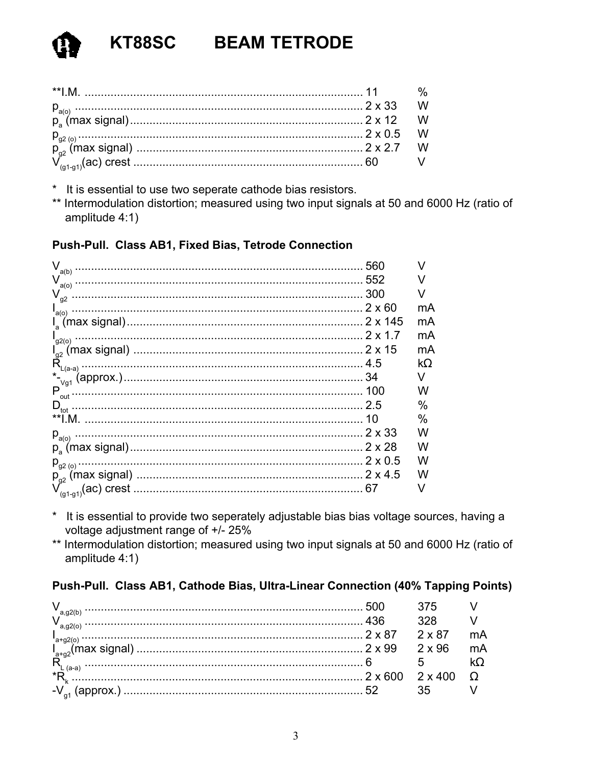- \* It is essential to use two seperate cathode bias resistors.
- \*\* Intermodulation distortion; measured using two input signals at 50 and 6000 Hz (ratio of amplitude 4:1)

#### Push-Pull. Class AB1, Fixed Bias, Tetrode Connection

|                            | 560 | V    |
|----------------------------|-----|------|
|                            |     |      |
| $\mathsf{V}_{\mathsf{g2}}$ |     |      |
| $I_{a(0)}$                 |     | mA   |
|                            |     | mA   |
|                            |     | mA   |
|                            |     | mA   |
|                            |     | kΩ   |
|                            |     | V    |
|                            |     | w    |
|                            |     | %    |
|                            |     | $\%$ |
|                            |     | w    |
|                            |     | w    |
|                            |     | W    |
|                            |     | w    |
|                            |     | V    |
|                            |     |      |

- It is essential to provide two seperately adjustable bias bias voltage sources, having a  $\star$ voltage adjustment range of +/- 25%
- \*\* Intermodulation distortion; measured using two input signals at 50 and 6000 Hz (ratio of amplitude 4:1)

#### Push-Pull. Class AB1, Cathode Bias, Ultra-Linear Connection (40% Tapping Points)

|    | $2 \times 87$  |  |
|----|----------------|--|
|    | $2 \times 96$  |  |
| R  |                |  |
| *R | $2 \times 400$ |  |
|    |                |  |
|    |                |  |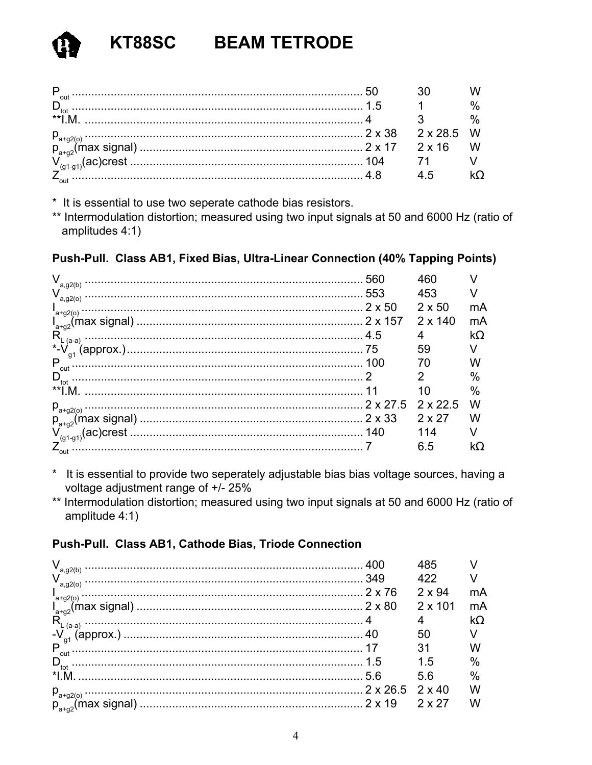| ** |                 |  |
|----|-----------------|--|
|    | $2 \times 28.5$ |  |
|    |                 |  |
|    |                 |  |
|    |                 |  |

\* It is essential to use two seperate cathode bias resistors.

\*\* Intermodulation distortion; measured using two input signals at 50 and 6000 Hz (ratio of amplitudes 4:1)

#### Push-Pull. Class AB1, Fixed Bias, Ultra-Linear Connection (40% Tapping Points)

| v<br>560<br>a, q2(b)      | 460             |           |
|---------------------------|-----------------|-----------|
| 553<br>a, g2(o)           | 453             |           |
| $2 \times 50$<br>$a+g(0)$ | $2 \times 50$   | mA        |
|                           | $2 \times 140$  | mA        |
| R<br>$(a-a)$              | 4               | $k\Omega$ |
|                           | 59              |           |
| P<br>100<br>out           | 70              | W         |
| $D_{\rm tot}$             | 2               | $\%$      |
| $**I.M$                   | 10              | $\%$      |
|                           | $2 \times 22.5$ | w         |
|                           | $2 \times 27$   | w         |
|                           | 114             |           |
| $Z_{\text{out}}^{\sim}$   | 6.5             | kΩ        |

- \* It is essential to provide two seperately adjustable bias bias voltage sources, having a voltage adjustment range of +/- 25%
- \*\* Intermodulation distortion; measured using two input signals at 50 and 6000 Hz (ratio of amplitude 4:1)

#### Push-Pull. Class AB1, Cathode Bias, Triode Connection

| a, g2(b)                |                 | 485            |      |
|-------------------------|-----------------|----------------|------|
| a, g2(o)                | 349             | 422            |      |
|                         | $2 \times 76$   | $2 \times 94$  | mA   |
| $a+g2(0)$               |                 | $2 \times 101$ | mA   |
| $R_i$<br>$(a-a)$        |                 |                | kΩ   |
| (approx.)               |                 | 50             |      |
| g <sup>1</sup><br>P     |                 | 31             |      |
| out<br>$D_{\text{tot}}$ | 1.5             | 15             | $\%$ |
| $*1 M$                  | 56              | 5.6            | $\%$ |
|                         | $2 \times 26.5$ | $2 \times 40$  | W    |
| $p_{a+g2}$ (max signal) |                 | 2 x 27         |      |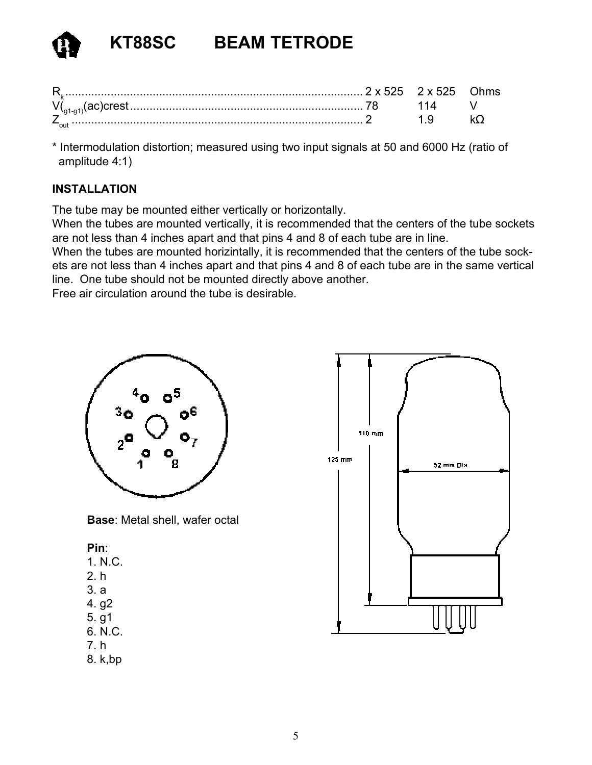\* Intermodulation distortion; measured using two input signals at 50 and 6000 Hz (ratio of amplitude 4:1)

#### **INSTALLATION**

The tube may be mounted either vertically or horizontally.

When the tubes are mounted vertically, it is recommended that the centers of the tube sockets are not less than 4 inches apart and that pins 4 and 8 of each tube are in line.

When the tubes are mounted horizintally, it is recommended that the centers of the tube sockets are not less than 4 inches apart and that pins 4 and 8 of each tube are in the same vertical line. One tube should not be mounted directly above another.

Free air circulation around the tube is desirable.



**Base**: Metal shell, wafer octal

#### **Pin**:

- 1. N.C.
- 2. h
- 3. a
- 4. g2
- 5. g1
- 6. N.C.
- 7. h
- 8. k,bp

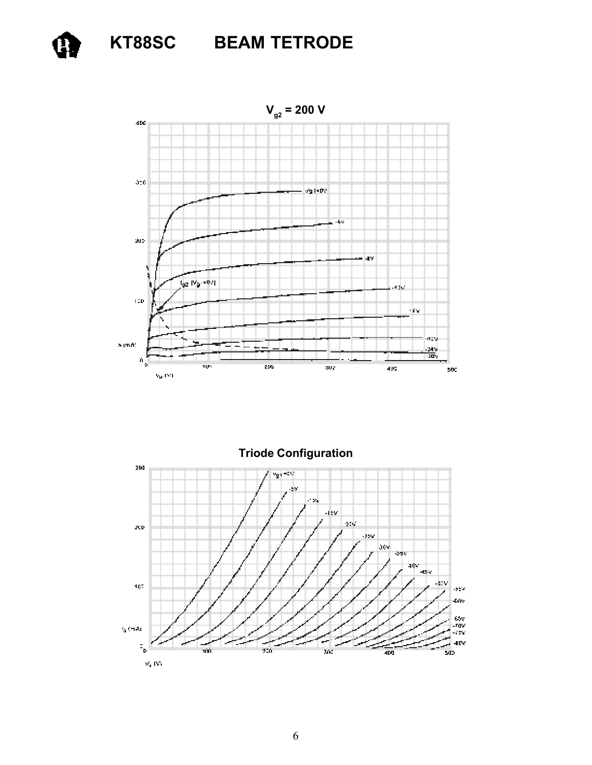



**Triode Configuration**and  $v_{\rm g}$  ,  $-2\%$ ėv. иý, -lev  $22\sigma$  $\mathbf{x}$ .35V  $rac{1}{2}$  $45x$ -379 102  $\bar{1}$ -taty isv<br>.rgv iser) d 4Ñ  $\frac{1}{2}$  $40\%$ مستصيبات  $\tilde{\gamma}^{\rm c}_{\rm p}$ ౣఀ 400

K, NY